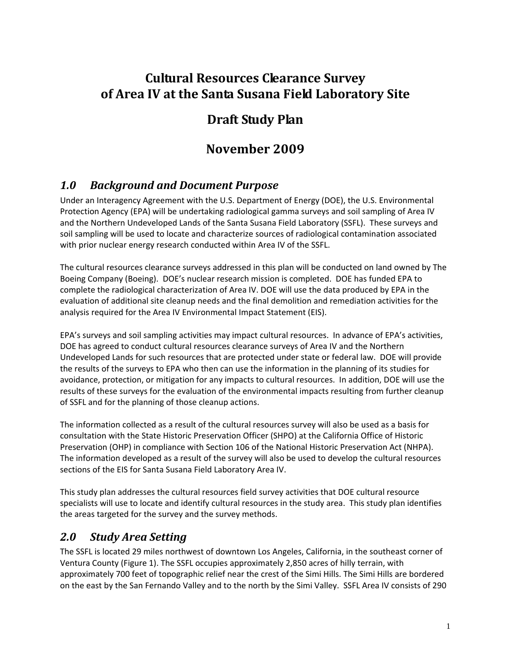## **Cultural Resources Clearance Survey of Area IV at the Santa Susana Field Laboratory Site**

# **Draft Study Plan**

# **November 2009**

## *1.0 Background and Document Purpose*

Under an Interagency Agreement with the U.S. Department of Energy (DOE), the U.S. Environmental Protection Agency (EPA) will be undertaking radiological gamma surveys and soil sampling of Area IV and the Northern Undeveloped Lands of the Santa Susana Field Laboratory (SSFL). These surveys and soil sampling will be used to locate and characterize sources of radiological contamination associated with prior nuclear energy research conducted within Area IV of the SSFL.

The cultural resources clearance surveys addressed in this plan will be conducted on land owned by The Boeing Company (Boeing). DOE's nuclear research mission is completed. DOE has funded EPA to complete the radiological characterization of Area IV. DOE will use the data produced by EPA in the evaluation of additional site cleanup needs and the final demolition and remediation activities for the analysis required for the Area IV Environmental Impact Statement (EIS).

EPA's surveys and soil sampling activities may impact cultural resources. In advance of EPA's activities, DOE has agreed to conduct cultural resources clearance surveys of Area IV and the Northern Undeveloped Lands for such resources that are protected under state or federal law. DOE will provide the results of the surveys to EPA who then can use the information in the planning of its studies for avoidance, protection, or mitigation for any impacts to cultural resources. In addition, DOE will use the results of these surveys for the evaluation of the environmental impacts resulting from further cleanup of SSFL and for the planning of those cleanup actions.

The information collected as a result of the cultural resources survey will also be used as a basis for consultation with the State Historic Preservation Officer (SHPO) at the California Office of Historic Preservation (OHP) in compliance with Section 106 of the National Historic Preservation Act (NHPA). The information developed as a result of the survey will also be used to develop the cultural resources sections of the EIS for Santa Susana Field Laboratory Area IV.

This study plan addresses the cultural resources field survey activities that DOE cultural resource specialists will use to locate and identify cultural resources in the study area. This study plan identifies the areas targeted for the survey and the survey methods.

## *2.0 Study Area Setting*

The SSFL is located 29 miles northwest of downtown Los Angeles, California, in the southeast corner of Ventura County (Figure 1). The SSFL occupies approximately 2,850 acres of hilly terrain, with approximately 700 feet of topographic relief near the crest of the Simi Hills. The Simi Hills are bordered on the east by the San Fernando Valley and to the north by the Simi Valley. SSFL Area IV consists of 290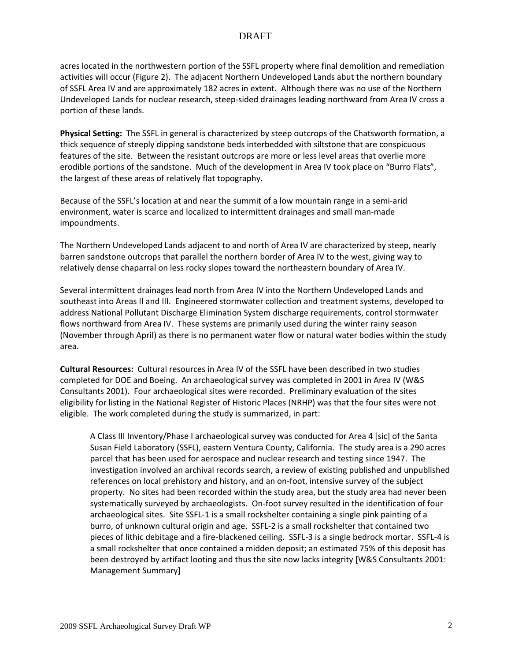acres located in the northwestern portion of the SSFL property where final demolition and remediation activities will occur (Figure 2). The adjacent Northern Undeveloped Lands abut the northern boundary of SSFL Area IV and are approximately 182 acres in extent. Although there was no use of the Northern Undeveloped Lands for nuclear research, steep‐sided drainages leading northward from Area IV cross a portion of these lands.

**Physical Setting:** The SSFL in general is characterized by steep outcrops of the Chatsworth formation, a thick sequence of steeply dipping sandstone beds interbedded with siltstone that are conspicuous features of the site. Between the resistant outcrops are more or less level areas that overlie more erodible portions of the sandstone. Much of the development in Area IV took place on "Burro Flats", the largest of these areas of relatively flat topography.

Because of the SSFL's location at and near the summit of a low mountain range in a semi‐arid environment, water is scarce and localized to intermittent drainages and small man‐made impoundments.

The Northern Undeveloped Lands adjacent to and north of Area IV are characterized by steep, nearly barren sandstone outcrops that parallel the northern border of Area IV to the west, giving way to relatively dense chaparral on less rocky slopes toward the northeastern boundary of Area IV.

Several intermittent drainages lead north from Area IV into the Northern Undeveloped Lands and southeast into Areas II and III. Engineered stormwater collection and treatment systems, developed to address National Pollutant Discharge Elimination System discharge requirements, control stormwater flows northward from Area IV. These systems are primarily used during the winter rainy season (November through April) as there is no permanent water flow or natural water bodies within the study area.

**Cultural Resources:** Cultural resources in Area IV of the SSFL have been described in two studies completed for DOE and Boeing. An archaeological survey was completed in 2001 in Area IV (W&S Consultants 2001). Four archaeological sites were recorded. Preliminary evaluation of the sites eligibility for listing in the National Register of Historic Places (NRHP) was that the four sites were not eligible. The work completed during the study is summarized, in part:

A Class III Inventory/Phase I archaeological survey was conducted for Area 4 [sic] of the Santa Susan Field Laboratory (SSFL), eastern Ventura County, California. The study area is a 290 acres parcel that has been used for aerospace and nuclear research and testing since 1947. The investigation involved an archival records search, a review of existing published and unpublished references on local prehistory and history, and an on-foot, intensive survey of the subject property. No sites had been recorded within the study area, but the study area had never been systematically surveyed by archaeologists. On-foot survey resulted in the identification of four archaeological sites. Site SSFL‐1 is a small rockshelter containing a single pink painting of a burro, of unknown cultural origin and age. SSFL‐2 is a small rockshelter that contained two pieces of lithic debitage and a fire‐blackened ceiling. SSFL‐3 is a single bedrock mortar. SSFL‐4 is a small rockshelter that once contained a midden deposit; an estimated 75% of this deposit has been destroyed by artifact looting and thus the site now lacks integrity [W&S Consultants 2001: Management Summary]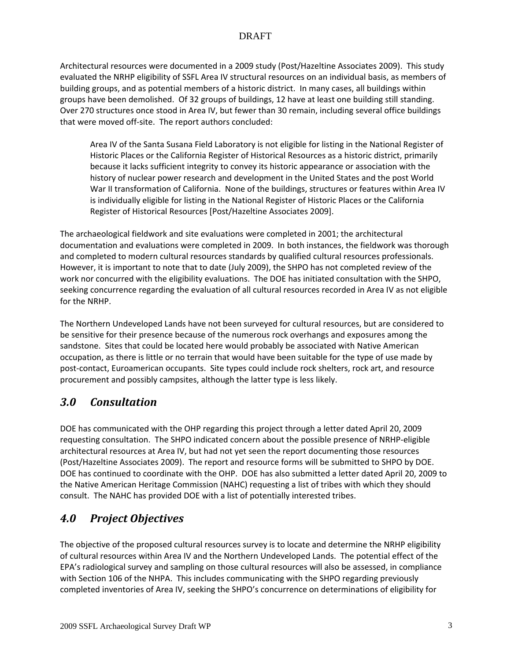Architectural resources were documented in a 2009 study (Post/Hazeltine Associates 2009). This study evaluated the NRHP eligibility of SSFL Area IV structural resources on an individual basis, as members of building groups, and as potential members of a historic district. In many cases, all buildings within groups have been demolished. Of 32 groups of buildings, 12 have at least one building still standing. Over 270 structures once stood in Area IV, but fewer than 30 remain, including several office buildings that were moved off‐site. The report authors concluded:

Area IV of the Santa Susana Field Laboratory is not eligible for listing in the National Register of Historic Places or the California Register of Historical Resources as a historic district, primarily because it lacks sufficient integrity to convey its historic appearance or association with the history of nuclear power research and development in the United States and the post World War II transformation of California. None of the buildings, structures or features within Area IV is individually eligible for listing in the National Register of Historic Places or the California Register of Historical Resources [Post/Hazeltine Associates 2009].

The archaeological fieldwork and site evaluations were completed in 2001; the architectural documentation and evaluations were completed in 2009. In both instances, the fieldwork was thorough and completed to modern cultural resources standards by qualified cultural resources professionals. However, it is important to note that to date (July 2009), the SHPO has not completed review of the work nor concurred with the eligibility evaluations. The DOE has initiated consultation with the SHPO, seeking concurrence regarding the evaluation of all cultural resources recorded in Area IV as not eligible for the NRHP.

The Northern Undeveloped Lands have not been surveyed for cultural resources, but are considered to be sensitive for their presence because of the numerous rock overhangs and exposures among the sandstone. Sites that could be located here would probably be associated with Native American occupation, as there is little or no terrain that would have been suitable for the type of use made by post-contact, Euroamerican occupants. Site types could include rock shelters, rock art, and resource procurement and possibly campsites, although the latter type is less likely.

### *3.0 Consultation*

DOE has communicated with the OHP regarding this project through a letter dated April 20, 2009 requesting consultation. The SHPO indicated concern about the possible presence of NRHP‐eligible architectural resources at Area IV, but had not yet seen the report documenting those resources (Post/Hazeltine Associates 2009). The report and resource forms will be submitted to SHPO by DOE. DOE has continued to coordinate with the OHP. DOE has also submitted a letter dated April 20, 2009 to the Native American Heritage Commission (NAHC) requesting a list of tribes with which they should consult. The NAHC has provided DOE with a list of potentially interested tribes.

## *4.0 Project Objectives*

The objective of the proposed cultural resources survey is to locate and determine the NRHP eligibility of cultural resources within Area IV and the Northern Undeveloped Lands. The potential effect of the EPA's radiological survey and sampling on those cultural resources will also be assessed, in compliance with Section 106 of the NHPA. This includes communicating with the SHPO regarding previously completed inventories of Area IV, seeking the SHPO's concurrence on determinations of eligibility for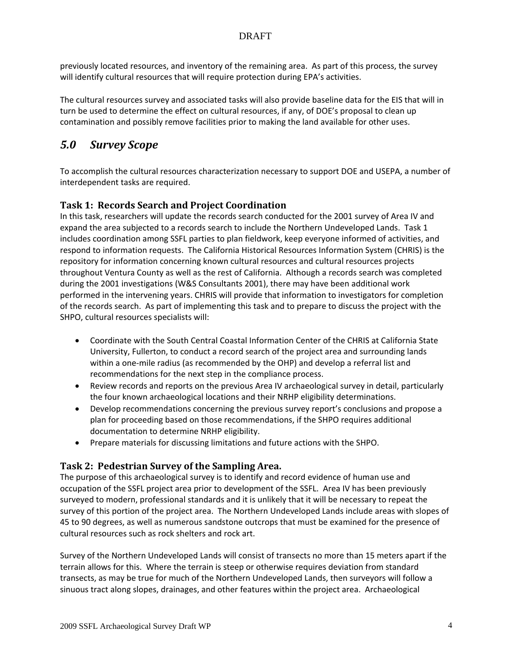previously located resources, and inventory of the remaining area. As part of this process, the survey will identify cultural resources that will require protection during EPA's activities.

The cultural resources survey and associated tasks will also provide baseline data for the EIS that will in turn be used to determine the effect on cultural resources, if any, of DOE's proposal to clean up contamination and possibly remove facilities prior to making the land available for other uses.

### *5.0 Survey Scope*

To accomplish the cultural resources characterization necessary to support DOE and USEPA, a number of interdependent tasks are required.

### **Task 1: Records Search and Project Coordination**

In this task, researchers will update the records search conducted for the 2001 survey of Area IV and expand the area subjected to a records search to include the Northern Undeveloped Lands. Task 1 includes coordination among SSFL parties to plan fieldwork, keep everyone informed of activities, and respond to information requests. The California Historical Resources Information System (CHRIS) is the repository for information concerning known cultural resources and cultural resources projects throughout Ventura County as well as the rest of California. Although a records search was completed during the 2001 investigations (W&S Consultants 2001), there may have been additional work performed in the intervening years. CHRIS will provide that information to investigators for completion of the records search. As part of implementing this task and to prepare to discuss the project with the SHPO, cultural resources specialists will:

- Coordinate with the South Central Coastal Information Center of the CHRIS at California State University, Fullerton, to conduct a record search of the project area and surrounding lands within a one‐mile radius (as recommended by the OHP) and develop a referral list and recommendations for the next step in the compliance process.
- Review records and reports on the previous Area IV archaeological survey in detail, particularly the four known archaeological locations and their NRHP eligibility determinations.
- Develop recommendations concerning the previous survey report's conclusions and propose a plan for proceeding based on those recommendations, if the SHPO requires additional documentation to determine NRHP eligibility.
- Prepare materials for discussing limitations and future actions with the SHPO.

### **Task 2: Pedestrian Survey of the Sampling Area.**

The purpose of this archaeological survey is to identify and record evidence of human use and occupation of the SSFL project area prior to development of the SSFL. Area IV has been previously surveyed to modern, professional standards and it is unlikely that it will be necessary to repeat the survey of this portion of the project area. The Northern Undeveloped Lands include areas with slopes of 45 to 90 degrees, as well as numerous sandstone outcrops that must be examined for the presence of cultural resources such as rock shelters and rock art.

Survey of the Northern Undeveloped Lands will consist of transects no more than 15 meters apart if the terrain allows for this. Where the terrain is steep or otherwise requires deviation from standard transects, as may be true for much of the Northern Undeveloped Lands, then surveyors will follow a sinuous tract along slopes, drainages, and other features within the project area. Archaeological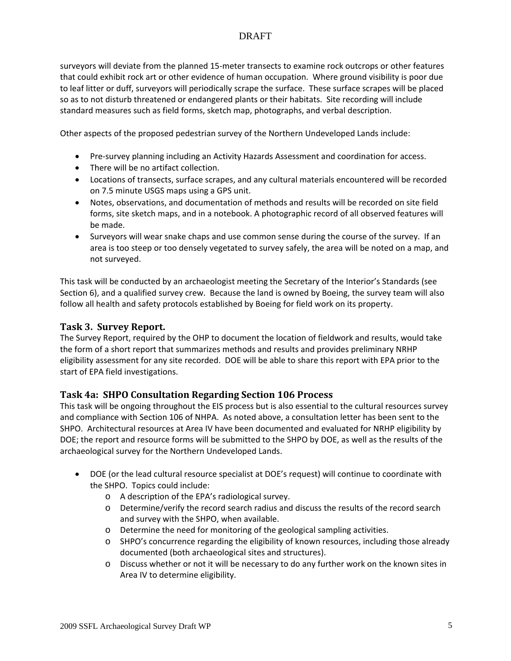surveyors will deviate from the planned 15‐meter transects to examine rock outcrops or other features that could exhibit rock art or other evidence of human occupation. Where ground visibility is poor due to leaf litter or duff, surveyors will periodically scrape the surface. These surface scrapes will be placed so as to not disturb threatened or endangered plants or their habitats. Site recording will include standard measures such as field forms, sketch map, photographs, and verbal description.

Other aspects of the proposed pedestrian survey of the Northern Undeveloped Lands include:

- Pre-survey planning including an Activity Hazards Assessment and coordination for access.
- There will be no artifact collection.
- Locations of transects, surface scrapes, and any cultural materials encountered will be recorded on 7.5 minute USGS maps using a GPS unit.
- Notes, observations, and documentation of methods and results will be recorded on site field forms, site sketch maps, and in a notebook. A photographic record of all observed features will be made.
- Surveyors will wear snake chaps and use common sense during the course of the survey. If an area is too steep or too densely vegetated to survey safely, the area will be noted on a map, and not surveyed.

This task will be conducted by an archaeologist meeting the Secretary of the Interior's Standards (see Section 6), and a qualified survey crew. Because the land is owned by Boeing, the survey team will also follow all health and safety protocols established by Boeing for field work on its property.

### **Task 3. Survey Report.**

The Survey Report, required by the OHP to document the location of fieldwork and results, would take the form of a short report that summarizes methods and results and provides preliminary NRHP eligibility assessment for any site recorded. DOE will be able to share this report with EPA prior to the start of EPA field investigations.

#### **Task 4a: SHPO Consultation Regarding Section 106 Process**

This task will be ongoing throughout the EIS process but is also essential to the cultural resources survey and compliance with Section 106 of NHPA. As noted above, a consultation letter has been sent to the SHPO. Architectural resources at Area IV have been documented and evaluated for NRHP eligibility by DOE; the report and resource forms will be submitted to the SHPO by DOE, as well as the results of the archaeological survey for the Northern Undeveloped Lands.

- DOE (or the lead cultural resource specialist at DOE's request) will continue to coordinate with the SHPO. Topics could include:
	- o A description of the EPA's radiological survey.
	- o Determine/verify the record search radius and discuss the results of the record search and survey with the SHPO, when available.
	- o Determine the need for monitoring of the geological sampling activities.
	- o SHPO's concurrence regarding the eligibility of known resources, including those already documented (both archaeological sites and structures).
	- o Discuss whether or not it will be necessary to do any further work on the known sites in Area IV to determine eligibility.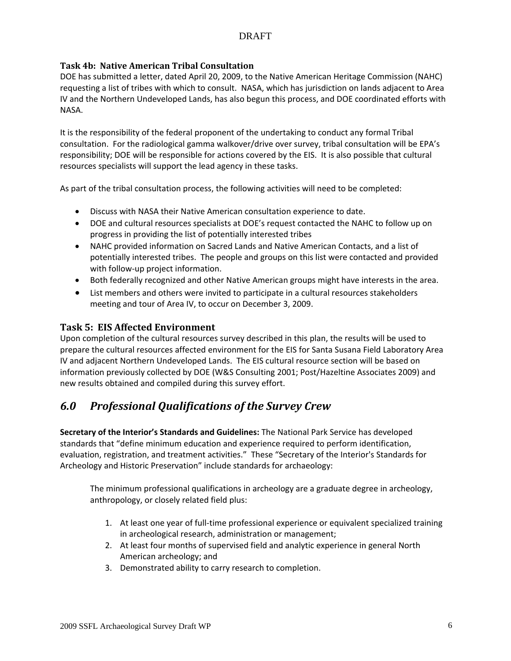#### **Task 4b: Native American Tribal Consultation**

DOE has submitted a letter, dated April 20, 2009, to the Native American Heritage Commission (NAHC) requesting a list of tribes with which to consult. NASA, which has jurisdiction on lands adjacent to Area IV and the Northern Undeveloped Lands, has also begun this process, and DOE coordinated efforts with NASA.

It is the responsibility of the federal proponent of the undertaking to conduct any formal Tribal consultation. For the radiological gamma walkover/drive over survey, tribal consultation will be EPA's responsibility; DOE will be responsible for actions covered by the EIS. It is also possible that cultural resources specialists will support the lead agency in these tasks.

As part of the tribal consultation process, the following activities will need to be completed:

- Discuss with NASA their Native American consultation experience to date.
- DOE and cultural resources specialists at DOE's request contacted the NAHC to follow up on progress in providing the list of potentially interested tribes
- NAHC provided information on Sacred Lands and Native American Contacts, and a list of potentially interested tribes. The people and groups on this list were contacted and provided with follow-up project information.
- Both federally recognized and other Native American groups might have interests in the area.
- List members and others were invited to participate in a cultural resources stakeholders meeting and tour of Area IV, to occur on December 3, 2009.

### **Task 5: EIS Affected Environment**

Upon completion of the cultural resources survey described in this plan, the results will be used to prepare the cultural resources affected environment for the EIS for Santa Susana Field Laboratory Area IV and adjacent Northern Undeveloped Lands. The EIS cultural resource section will be based on information previously collected by DOE (W&S Consulting 2001; Post/Hazeltine Associates 2009) and new results obtained and compiled during this survey effort.

### *6.0 Professional Qualifications of the Survey Crew*

**Secretary of the Interior's Standards and Guidelines:** The National Park Service has developed standards that "define minimum education and experience required to perform identification, evaluation, registration, and treatment activities." These "Secretary of the Interior's Standards for Archeology and Historic Preservation" include standards for archaeology:

The minimum professional qualifications in archeology are a graduate degree in archeology, anthropology, or closely related field plus:

- 1. At least one year of full‐time professional experience or equivalent specialized training in archeological research, administration or management;
- 2. At least four months of supervised field and analytic experience in general North American archeology; and
- 3. Demonstrated ability to carry research to completion.